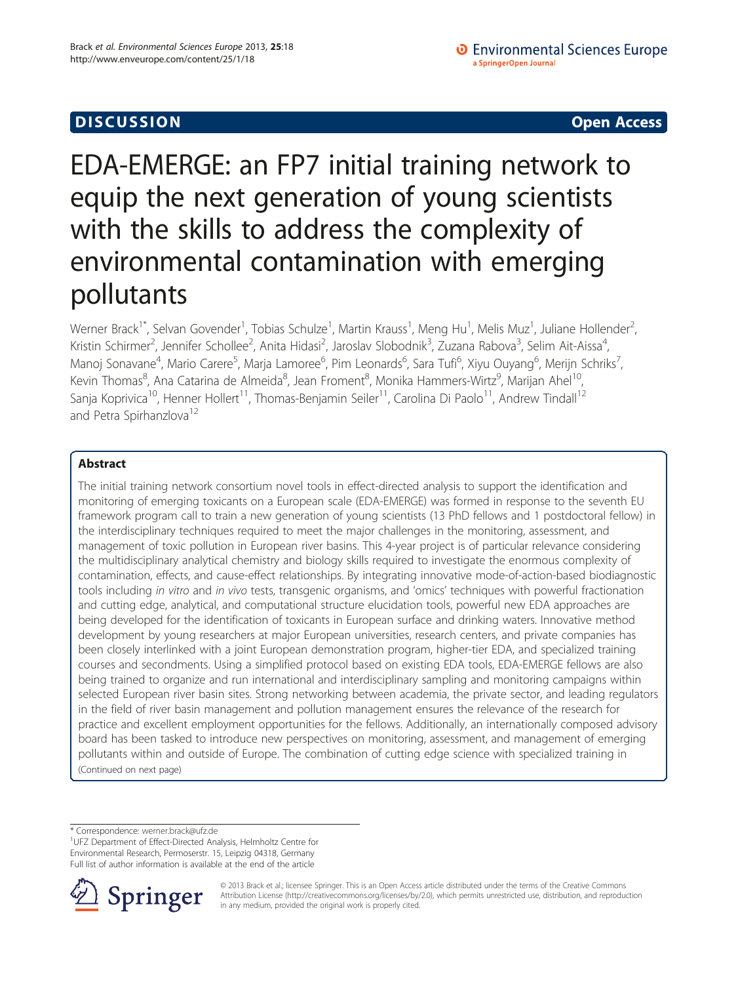# **DISCUSSION** CONTROL CONTROL CONTROL CONTROL CONTROL CONTROL CONTROL CONTROL CONTROL CONTROL CONTROL CONTROL CONTROL CONTROL CONTROL CONTROL CONTROL CONTROL CONTROL CONTROL CONTROL CONTROL CONTROL CONTROL CONTROL CONTROL C

# EDA-EMERGE: an FP7 initial training network to equip the next generation of young scientists with the skills to address the complexity of environmental contamination with emerging pollutants

Werner Brack<sup>1\*</sup>, Selvan Govender<sup>1</sup>, Tobias Schulze<sup>1</sup>, Martin Krauss<sup>1</sup>, Meng Hu<sup>1</sup>, Melis Muz<sup>1</sup>, Juliane Hollender<sup>2</sup> , Kristin Schirmer<sup>2</sup>, Jennifer Schollee<sup>2</sup>, Anita Hidasi<sup>2</sup>, Jaroslav Slobodnik<sup>3</sup>, Zuzana Rabova<sup>3</sup>, Selim Ait-Aissa<sup>4</sup> , Manoj Sonavane<sup>4</sup>, Mario Carere<sup>5</sup>, Marja Lamoree<sup>6</sup>, Pim Leonards<sup>6</sup>, Sara Tufi<sup>6</sup>, Xiyu Ouyang<sup>6</sup>, Merijn Schriks<sup>7</sup> , Kevin Thomas<sup>8</sup>, Ana Catarina de Almeida<sup>8</sup>, Jean Froment<sup>8</sup>, Monika Hammers-Wirtz<sup>9</sup>, Marijan Ahel<sup>10</sup>, Sanja Koprivica<sup>10</sup>, Henner Hollert<sup>11</sup>, Thomas-Benjamin Seiler<sup>11</sup>, Carolina Di Paolo<sup>11</sup>, Andrew Tindall<sup>12</sup> and Petra Spirhanzlova<sup>12</sup>

# Abstract

The initial training network consortium novel tools in effect-directed analysis to support the identification and monitoring of emerging toxicants on a European scale (EDA-EMERGE) was formed in response to the seventh EU framework program call to train a new generation of young scientists (13 PhD fellows and 1 postdoctoral fellow) in the interdisciplinary techniques required to meet the major challenges in the monitoring, assessment, and management of toxic pollution in European river basins. This 4-year project is of particular relevance considering the multidisciplinary analytical chemistry and biology skills required to investigate the enormous complexity of contamination, effects, and cause-effect relationships. By integrating innovative mode-of-action-based biodiagnostic tools including in vitro and in vivo tests, transgenic organisms, and 'omics' techniques with powerful fractionation and cutting edge, analytical, and computational structure elucidation tools, powerful new EDA approaches are being developed for the identification of toxicants in European surface and drinking waters. Innovative method development by young researchers at major European universities, research centers, and private companies has been closely interlinked with a joint European demonstration program, higher-tier EDA, and specialized training courses and secondments. Using a simplified protocol based on existing EDA tools, EDA-EMERGE fellows are also being trained to organize and run international and interdisciplinary sampling and monitoring campaigns within selected European river basin sites. Strong networking between academia, the private sector, and leading regulators in the field of river basin management and pollution management ensures the relevance of the research for practice and excellent employment opportunities for the fellows. Additionally, an internationally composed advisory board has been tasked to introduce new perspectives on monitoring, assessment, and management of emerging pollutants within and outside of Europe. The combination of cutting edge science with specialized training in (Continued on next page)

\* Correspondence: [werner.brack@ufz.de](mailto:werner.brack@ufz.de) <sup>1</sup>

UFZ Department of Effect-Directed Analysis, Helmholtz Centre for Environmental Research, Permoserstr. 15, Leipzig 04318, Germany Full list of author information is available at the end of the article



© 2013 Brack et al.; licensee Springer. This is an Open Access article distributed under the terms of the Creative Commons Attribution License [\(http://creativecommons.org/licenses/by/2.0\)](http://creativecommons.org/licenses/by/2.0), which permits unrestricted use, distribution, and reproduction in any medium, provided the original work is properly cited.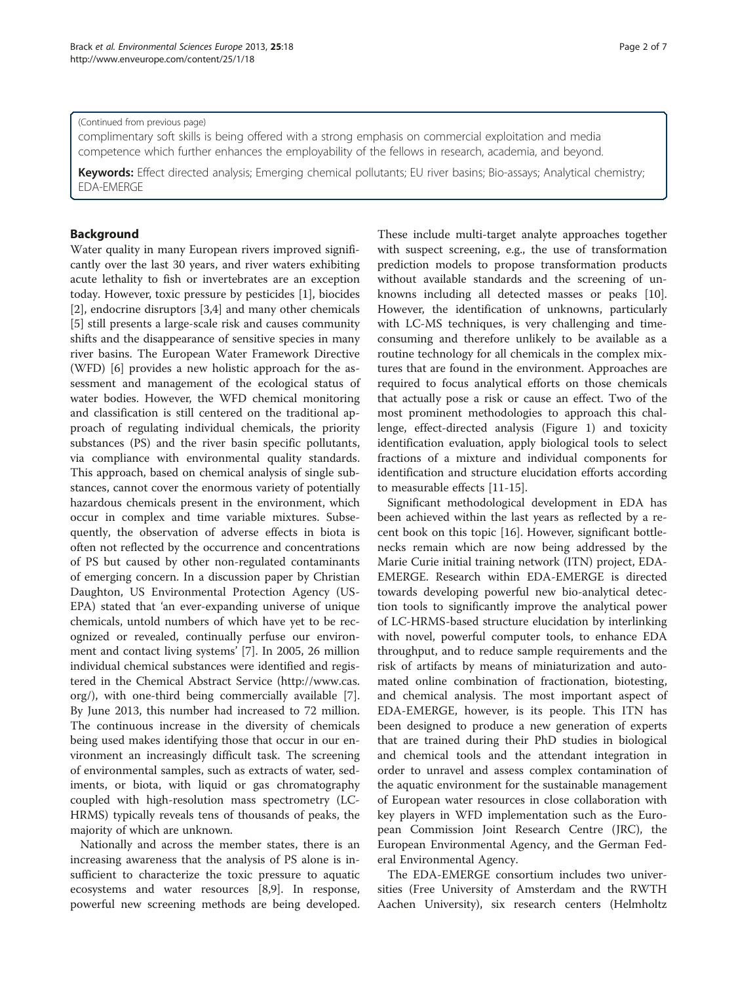### (Continued from previous page)

complimentary soft skills is being offered with a strong emphasis on commercial exploitation and media competence which further enhances the employability of the fellows in research, academia, and beyond.

Keywords: Effect directed analysis; Emerging chemical pollutants; EU river basins; Bio-assays; Analytical chemistry; EDA-EMERGE

# Background

Water quality in many European rivers improved significantly over the last 30 years, and river waters exhibiting acute lethality to fish or invertebrates are an exception today. However, toxic pressure by pesticides [\[1](#page-5-0)], biocides [[2\]](#page-5-0), endocrine disruptors [\[3,4](#page-5-0)] and many other chemicals [[5\]](#page-5-0) still presents a large-scale risk and causes community shifts and the disappearance of sensitive species in many river basins. The European Water Framework Directive (WFD) [\[6](#page-5-0)] provides a new holistic approach for the assessment and management of the ecological status of water bodies. However, the WFD chemical monitoring and classification is still centered on the traditional approach of regulating individual chemicals, the priority substances (PS) and the river basin specific pollutants, via compliance with environmental quality standards. This approach, based on chemical analysis of single substances, cannot cover the enormous variety of potentially hazardous chemicals present in the environment, which occur in complex and time variable mixtures. Subsequently, the observation of adverse effects in biota is often not reflected by the occurrence and concentrations of PS but caused by other non-regulated contaminants of emerging concern. In a discussion paper by Christian Daughton, US Environmental Protection Agency (US-EPA) stated that 'an ever-expanding universe of unique chemicals, untold numbers of which have yet to be recognized or revealed, continually perfuse our environment and contact living systems' [\[7\]](#page-5-0). In 2005, 26 million individual chemical substances were identified and registered in the Chemical Abstract Service ([http://www.cas.](http://www.cas.org/) [org/\)](http://www.cas.org/), with one-third being commercially available [\[7](#page-5-0)]. By June 2013, this number had increased to 72 million. The continuous increase in the diversity of chemicals being used makes identifying those that occur in our environment an increasingly difficult task. The screening of environmental samples, such as extracts of water, sediments, or biota, with liquid or gas chromatography coupled with high-resolution mass spectrometry (LC-HRMS) typically reveals tens of thousands of peaks, the majority of which are unknown.

Nationally and across the member states, there is an increasing awareness that the analysis of PS alone is insufficient to characterize the toxic pressure to aquatic ecosystems and water resources [[8](#page-5-0),[9\]](#page-5-0). In response, powerful new screening methods are being developed.

These include multi-target analyte approaches together with suspect screening, e.g., the use of transformation prediction models to propose transformation products without available standards and the screening of unknowns including all detected masses or peaks [\[10](#page-5-0)]. However, the identification of unknowns, particularly with LC-MS techniques, is very challenging and timeconsuming and therefore unlikely to be available as a routine technology for all chemicals in the complex mixtures that are found in the environment. Approaches are required to focus analytical efforts on those chemicals that actually pose a risk or cause an effect. Two of the most prominent methodologies to approach this challenge, effect-directed analysis (Figure [1\)](#page-2-0) and toxicity identification evaluation, apply biological tools to select fractions of a mixture and individual components for identification and structure elucidation efforts according to measurable effects [\[11](#page-5-0)-[15\]](#page-5-0).

Significant methodological development in EDA has been achieved within the last years as reflected by a recent book on this topic [\[16\]](#page-6-0). However, significant bottlenecks remain which are now being addressed by the Marie Curie initial training network (ITN) project, EDA-EMERGE. Research within EDA-EMERGE is directed towards developing powerful new bio-analytical detection tools to significantly improve the analytical power of LC-HRMS-based structure elucidation by interlinking with novel, powerful computer tools, to enhance EDA throughput, and to reduce sample requirements and the risk of artifacts by means of miniaturization and automated online combination of fractionation, biotesting, and chemical analysis. The most important aspect of EDA-EMERGE, however, is its people. This ITN has been designed to produce a new generation of experts that are trained during their PhD studies in biological and chemical tools and the attendant integration in order to unravel and assess complex contamination of the aquatic environment for the sustainable management of European water resources in close collaboration with key players in WFD implementation such as the European Commission Joint Research Centre (JRC), the European Environmental Agency, and the German Federal Environmental Agency.

The EDA-EMERGE consortium includes two universities (Free University of Amsterdam and the RWTH Aachen University), six research centers (Helmholtz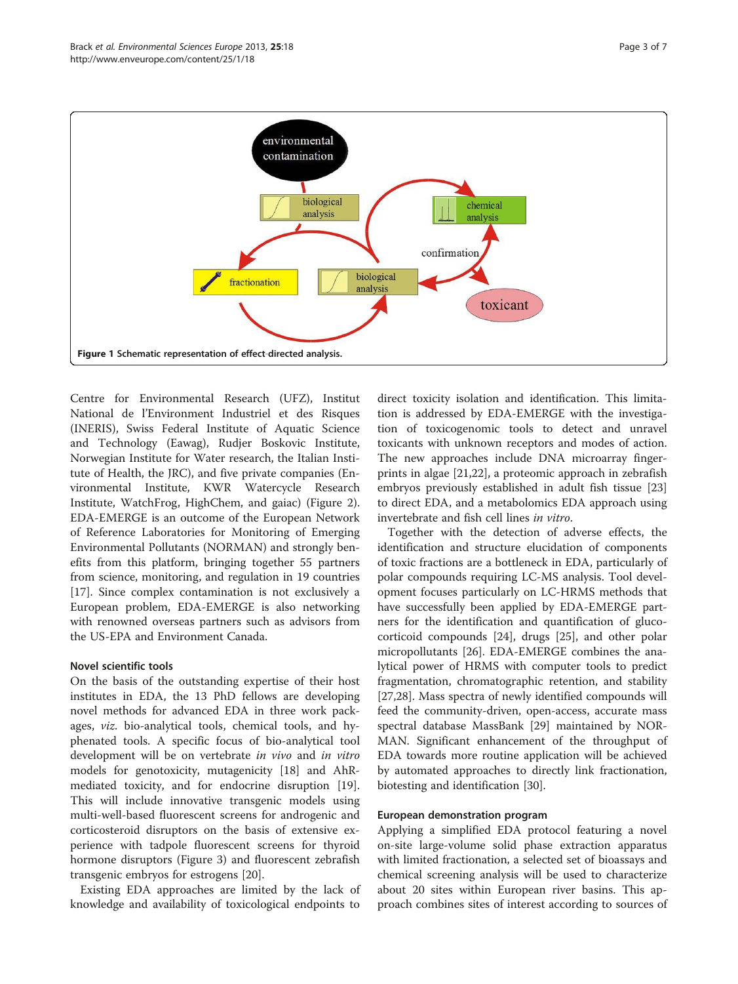<span id="page-2-0"></span>

Centre for Environmental Research (UFZ), Institut National de l'Environment Industriel et des Risques (INERIS), Swiss Federal Institute of Aquatic Science and Technology (Eawag), Rudjer Boskovic Institute, Norwegian Institute for Water research, the Italian Institute of Health, the JRC), and five private companies (Environmental Institute, KWR Watercycle Research Institute, WatchFrog, HighChem, and gaiac) (Figure [2](#page-3-0)). EDA-EMERGE is an outcome of the European Network of Reference Laboratories for Monitoring of Emerging Environmental Pollutants (NORMAN) and strongly benefits from this platform, bringing together 55 partners from science, monitoring, and regulation in 19 countries [[17\]](#page-6-0). Since complex contamination is not exclusively a European problem, EDA-EMERGE is also networking with renowned overseas partners such as advisors from the US-EPA and Environment Canada.

# Novel scientific tools

On the basis of the outstanding expertise of their host institutes in EDA, the 13 PhD fellows are developing novel methods for advanced EDA in three work packages, viz. bio-analytical tools, chemical tools, and hyphenated tools. A specific focus of bio-analytical tool development will be on vertebrate in vivo and in vitro models for genotoxicity, mutagenicity [\[18\]](#page-6-0) and AhRmediated toxicity, and for endocrine disruption [\[19](#page-6-0)]. This will include innovative transgenic models using multi-well-based fluorescent screens for androgenic and corticosteroid disruptors on the basis of extensive experience with tadpole fluorescent screens for thyroid hormone disruptors (Figure [3](#page-3-0)) and fluorescent zebrafish transgenic embryos for estrogens [\[20](#page-6-0)].

Existing EDA approaches are limited by the lack of knowledge and availability of toxicological endpoints to

direct toxicity isolation and identification. This limitation is addressed by EDA-EMERGE with the investigation of toxicogenomic tools to detect and unravel toxicants with unknown receptors and modes of action. The new approaches include DNA microarray fingerprints in algae [[21,22\]](#page-6-0), a proteomic approach in zebrafish embryos previously established in adult fish tissue [[23](#page-6-0)] to direct EDA, and a metabolomics EDA approach using invertebrate and fish cell lines in vitro.

Together with the detection of adverse effects, the identification and structure elucidation of components of toxic fractions are a bottleneck in EDA, particularly of polar compounds requiring LC-MS analysis. Tool development focuses particularly on LC-HRMS methods that have successfully been applied by EDA-EMERGE partners for the identification and quantification of glucocorticoid compounds [\[24](#page-6-0)], drugs [[25](#page-6-0)], and other polar micropollutants [\[26](#page-6-0)]. EDA-EMERGE combines the analytical power of HRMS with computer tools to predict fragmentation, chromatographic retention, and stability [[27,28\]](#page-6-0). Mass spectra of newly identified compounds will feed the community-driven, open-access, accurate mass spectral database MassBank [\[29\]](#page-6-0) maintained by NOR-MAN. Significant enhancement of the throughput of EDA towards more routine application will be achieved by automated approaches to directly link fractionation, biotesting and identification [[30](#page-6-0)].

## European demonstration program

Applying a simplified EDA protocol featuring a novel on-site large-volume solid phase extraction apparatus with limited fractionation, a selected set of bioassays and chemical screening analysis will be used to characterize about 20 sites within European river basins. This approach combines sites of interest according to sources of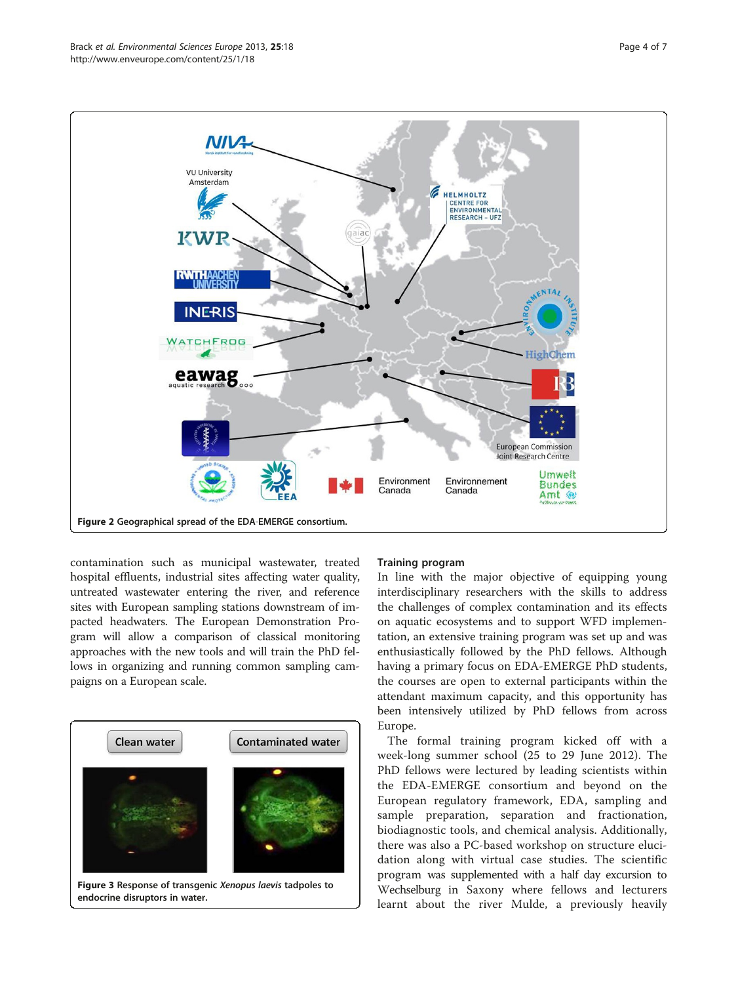<span id="page-3-0"></span>

contamination such as municipal wastewater, treated hospital effluents, industrial sites affecting water quality, untreated wastewater entering the river, and reference sites with European sampling stations downstream of impacted headwaters. The European Demonstration Program will allow a comparison of classical monitoring approaches with the new tools and will train the PhD fellows in organizing and running common sampling campaigns on a European scale.



## Training program

In line with the major objective of equipping young interdisciplinary researchers with the skills to address the challenges of complex contamination and its effects on aquatic ecosystems and to support WFD implementation, an extensive training program was set up and was enthusiastically followed by the PhD fellows. Although having a primary focus on EDA-EMERGE PhD students, the courses are open to external participants within the attendant maximum capacity, and this opportunity has been intensively utilized by PhD fellows from across Europe.

The formal training program kicked off with a week-long summer school (25 to 29 June 2012). The PhD fellows were lectured by leading scientists within the EDA-EMERGE consortium and beyond on the European regulatory framework, EDA, sampling and sample preparation, separation and fractionation, biodiagnostic tools, and chemical analysis. Additionally, there was also a PC-based workshop on structure elucidation along with virtual case studies. The scientific program was supplemented with a half day excursion to Wechselburg in Saxony where fellows and lecturers learnt about the river Mulde, a previously heavily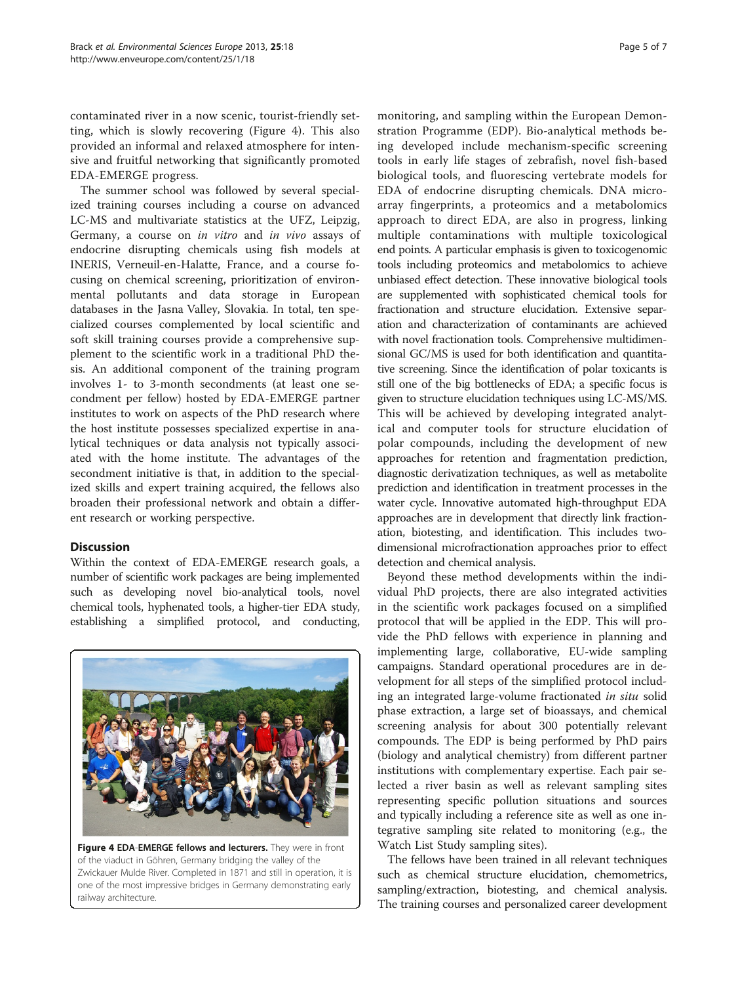contaminated river in a now scenic, tourist-friendly setting, which is slowly recovering (Figure 4). This also provided an informal and relaxed atmosphere for intensive and fruitful networking that significantly promoted EDA-EMERGE progress.

The summer school was followed by several specialized training courses including a course on advanced LC-MS and multivariate statistics at the UFZ, Leipzig, Germany, a course on in vitro and in vivo assays of endocrine disrupting chemicals using fish models at INERIS, Verneuil-en-Halatte, France, and a course focusing on chemical screening, prioritization of environmental pollutants and data storage in European databases in the Jasna Valley, Slovakia. In total, ten specialized courses complemented by local scientific and soft skill training courses provide a comprehensive supplement to the scientific work in a traditional PhD thesis. An additional component of the training program involves 1- to 3-month secondments (at least one secondment per fellow) hosted by EDA-EMERGE partner institutes to work on aspects of the PhD research where the host institute possesses specialized expertise in analytical techniques or data analysis not typically associated with the home institute. The advantages of the secondment initiative is that, in addition to the specialized skills and expert training acquired, the fellows also broaden their professional network and obtain a different research or working perspective.

# **Discussion**

Within the context of EDA-EMERGE research goals, a number of scientific work packages are being implemented such as developing novel bio-analytical tools, novel chemical tools, hyphenated tools, a higher-tier EDA study, establishing a simplified protocol, and conducting,



Figure 4 EDA-EMERGE fellows and lecturers. They were in front of the viaduct in Göhren, Germany bridging the valley of the Zwickauer Mulde River. Completed in 1871 and still in operation, it is one of the most impressive bridges in Germany demonstrating early railway architecture.

monitoring, and sampling within the European Demonstration Programme (EDP). Bio-analytical methods being developed include mechanism-specific screening tools in early life stages of zebrafish, novel fish-based biological tools, and fluorescing vertebrate models for EDA of endocrine disrupting chemicals. DNA microarray fingerprints, a proteomics and a metabolomics approach to direct EDA, are also in progress, linking multiple contaminations with multiple toxicological end points. A particular emphasis is given to toxicogenomic tools including proteomics and metabolomics to achieve unbiased effect detection. These innovative biological tools are supplemented with sophisticated chemical tools for fractionation and structure elucidation. Extensive separation and characterization of contaminants are achieved with novel fractionation tools. Comprehensive multidimensional GC/MS is used for both identification and quantitative screening. Since the identification of polar toxicants is still one of the big bottlenecks of EDA; a specific focus is given to structure elucidation techniques using LC-MS/MS. This will be achieved by developing integrated analytical and computer tools for structure elucidation of polar compounds, including the development of new approaches for retention and fragmentation prediction, diagnostic derivatization techniques, as well as metabolite prediction and identification in treatment processes in the water cycle. Innovative automated high-throughput EDA approaches are in development that directly link fractionation, biotesting, and identification. This includes twodimensional microfractionation approaches prior to effect detection and chemical analysis.

Beyond these method developments within the individual PhD projects, there are also integrated activities in the scientific work packages focused on a simplified protocol that will be applied in the EDP. This will provide the PhD fellows with experience in planning and implementing large, collaborative, EU-wide sampling campaigns. Standard operational procedures are in development for all steps of the simplified protocol including an integrated large-volume fractionated in situ solid phase extraction, a large set of bioassays, and chemical screening analysis for about 300 potentially relevant compounds. The EDP is being performed by PhD pairs (biology and analytical chemistry) from different partner institutions with complementary expertise. Each pair selected a river basin as well as relevant sampling sites representing specific pollution situations and sources and typically including a reference site as well as one integrative sampling site related to monitoring (e.g., the Watch List Study sampling sites).

The fellows have been trained in all relevant techniques such as chemical structure elucidation, chemometrics, sampling/extraction, biotesting, and chemical analysis. The training courses and personalized career development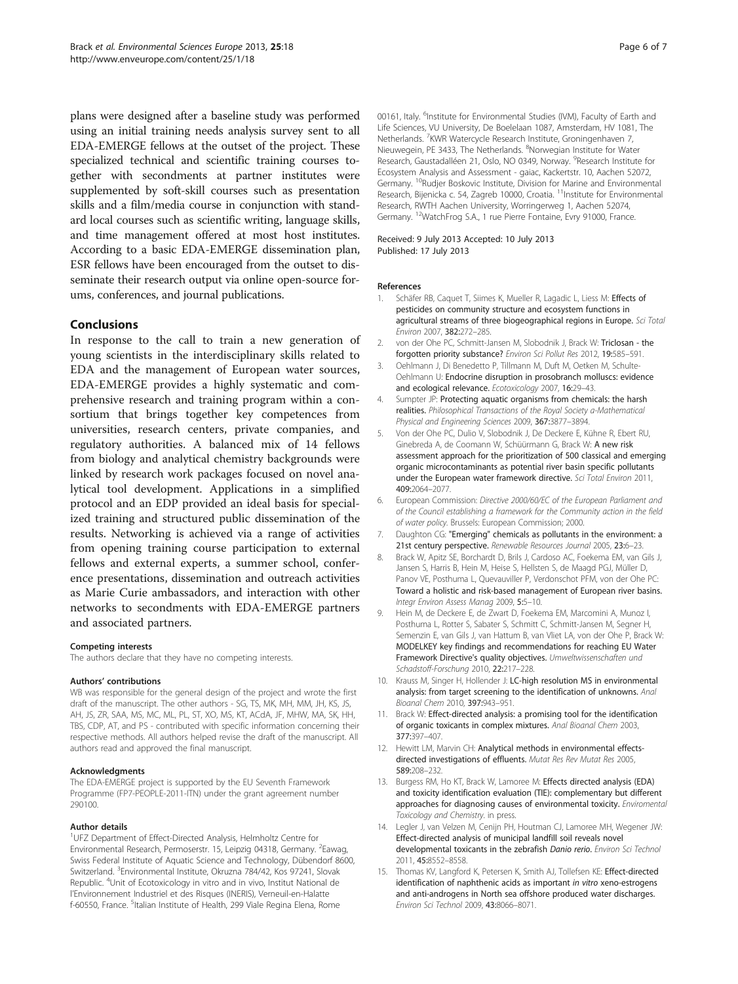<span id="page-5-0"></span>plans were designed after a baseline study was performed using an initial training needs analysis survey sent to all EDA-EMERGE fellows at the outset of the project. These specialized technical and scientific training courses together with secondments at partner institutes were supplemented by soft-skill courses such as presentation skills and a film/media course in conjunction with standard local courses such as scientific writing, language skills, and time management offered at most host institutes. According to a basic EDA-EMERGE dissemination plan, ESR fellows have been encouraged from the outset to disseminate their research output via online open-source forums, conferences, and journal publications.

# Conclusions

In response to the call to train a new generation of young scientists in the interdisciplinary skills related to EDA and the management of European water sources, EDA-EMERGE provides a highly systematic and comprehensive research and training program within a consortium that brings together key competences from universities, research centers, private companies, and regulatory authorities. A balanced mix of 14 fellows from biology and analytical chemistry backgrounds were linked by research work packages focused on novel analytical tool development. Applications in a simplified protocol and an EDP provided an ideal basis for specialized training and structured public dissemination of the results. Networking is achieved via a range of activities from opening training course participation to external fellows and external experts, a summer school, conference presentations, dissemination and outreach activities as Marie Curie ambassadors, and interaction with other networks to secondments with EDA-EMERGE partners and associated partners.

#### Competing interests

The authors declare that they have no competing interests.

#### Authors' contributions

WB was responsible for the general design of the project and wrote the first draft of the manuscript. The other authors - SG, TS, MK, MH, MM, JH, KS, JS, AH, JS, ZR, SAA, MS, MC, ML, PL, ST, XO, MS, KT, ACdA, JF, MHW, MA, SK, HH, TBS, CDP, AT, and PS - contributed with specific information concerning their respective methods. All authors helped revise the draft of the manuscript. All authors read and approved the final manuscript.

#### Acknowledgments

The EDA-EMERGE project is supported by the EU Seventh Framework Programme (FP7-PEOPLE-2011-ITN) under the grant agreement number 290100.

#### Author details

<sup>1</sup>UFZ Department of Effect-Directed Analysis, Helmholtz Centre for Environmental Research, Permoserstr. 15, Leipzig 04318, Germany. <sup>2</sup>Eawag, Swiss Federal Institute of Aquatic Science and Technology, Dübendorf 8600, Switzerland. <sup>3</sup>Environmental Institute, Okruzna 784/42, Kos 97241, Slovak Republic. <sup>4</sup>Unit of Ecotoxicology in vitro and in vivo, Institut National de l'Environnement Industriel et des Risques (INERIS), Verneuil-en-Halatte f-60550, France. <sup>5</sup>ltalian Institute of Health, 299 Viale Regina Elena, Rome

00161, Italy. <sup>6</sup>Institute for Environmental Studies (IVM), Faculty of Earth and Life Sciences, VU University, De Boelelaan 1087, Amsterdam, HV 1081, The Netherlands. <sup>7</sup> KWR Watercycle Research Institute, Groningenhaven 7, Nieuwegein, PE 3433, The Netherlands. <sup>8</sup>Norwegian Institute for Water Research, Gaustadalléen 21, Oslo, NO 0349, Norway. <sup>9</sup>Research Institute for Ecosystem Analysis and Assessment - gaiac, Kackertstr. 10, Aachen 52072, Germany. <sup>10</sup>Rudjer Boskovic Institute, Division for Marine and Environmental Research, Bijenicka c. 54, Zagreb 10000, Croatia. <sup>11</sup>Institute for Environmental Research, RWTH Aachen University, Worringerweg 1, Aachen 52074, Germany. 12WatchFrog S.A., 1 rue Pierre Fontaine, Evry 91000, France.

#### Received: 9 July 2013 Accepted: 10 July 2013 Published: 17 July 2013

#### References

- Schäfer RB, Caquet T, Siimes K, Mueller R, Lagadic L, Liess M: Effects of pesticides on community structure and ecosystem functions in agricultural streams of three biogeographical regions in Europe. Sci Total Environ 2007, 382:272–285.
- 2. von der Ohe PC, Schmitt-Jansen M, Slobodnik J, Brack W: Triclosan the forgotten priority substance? Environ Sci Pollut Res 2012, 19:585–591.
- 3. Oehlmann J, Di Benedetto P, Tillmann M, Duft M, Oetken M, Schulte-Oehlmann U: Endocrine disruption in prosobranch molluscs: evidence and ecological relevance. Ecotoxicology 2007, 16:29–43.
- 4. Sumpter JP: Protecting aquatic organisms from chemicals: the harsh realities. Philosophical Transactions of the Royal Society a-Mathematical Physical and Engineering Sciences 2009, 367:3877–3894.
- 5. Von der Ohe PC, Dulio V, Slobodnik J, De Deckere E, Kühne R, Ebert RU, Ginebreda A, de Coomann W, Schüürmann G, Brack W: A new risk assessment approach for the prioritization of 500 classical and emerging organic microcontaminants as potential river basin specific pollutants under the European water framework directive. Sci Total Environ 2011, 409:2064–2077.
- 6. European Commission: Directive 2000/60/EC of the European Parliament and of the Council establishing a framework for the Community action in the field of water policy. Brussels: European Commission; 2000.
- 7. Daughton CG: "Emerging" chemicals as pollutants in the environment: a 21st century perspective. Renewable Resources Journal 2005, 23:6–23.
- Brack W, Apitz SE, Borchardt D, Brils J, Cardoso AC, Foekema EM, van Gils J, Jansen S, Harris B, Hein M, Heise S, Hellsten S, de Maagd PGJ, Müller D, Panov VE, Posthuma L, Quevauviller P, Verdonschot PFM, von der Ohe PC: Toward a holistic and risk-based management of European river basins. Integr Environ Assess Manag 2009, 5:5–10.
- 9. Hein M, de Deckere E, de Zwart D, Foekema EM, Marcomini A, Munoz I, Posthuma L, Rotter S, Sabater S, Schmitt C, Schmitt-Jansen M, Segner H, Semenzin E, van Gils J, van Hattum B, van Vliet LA, von der Ohe P, Brack W: MODELKEY key findings and recommendations for reaching EU Water Framework Directive's quality objectives. Umweltwissenschaften und Schadstoff-Forschung 2010, 22:217–228.
- 10. Krauss M, Singer H, Hollender J: LC-high resolution MS in environmental analysis: from target screening to the identification of unknowns. Anal Bioanal Chem 2010, 397:943–951.
- 11. Brack W: Effect-directed analysis: a promising tool for the identification of organic toxicants in complex mixtures. Anal Bioanal Chem 2003, 377:397–407.
- 12. Hewitt LM, Marvin CH: Analytical methods in environmental effectsdirected investigations of effluents. Mutat Res Rev Mutat Res 2005, 589:208–232.
- 13. Burgess RM, Ho KT, Brack W, Lamoree M: Effects directed analysis (EDA) and toxicity identification evaluation (TIE): complementary but different approaches for diagnosing causes of environmental toxicity. Enviromental Toxicology and Chemistry. in press.
- 14. Legler J, van Velzen M, Cenijn PH, Houtman CJ, Lamoree MH, Wegener JW: Effect-directed analysis of municipal landfill soil reveals novel developmental toxicants in the zebrafish Danio rerio. Environ Sci Technol 2011, 45:8552–8558.
- 15. Thomas KV, Langford K, Petersen K, Smith AJ, Tollefsen KE: Effect-directed identification of naphthenic acids as important in vitro xeno-estrogens and anti-androgens in North sea offshore produced water discharges. Environ Sci Technol 2009, 43:8066–8071.